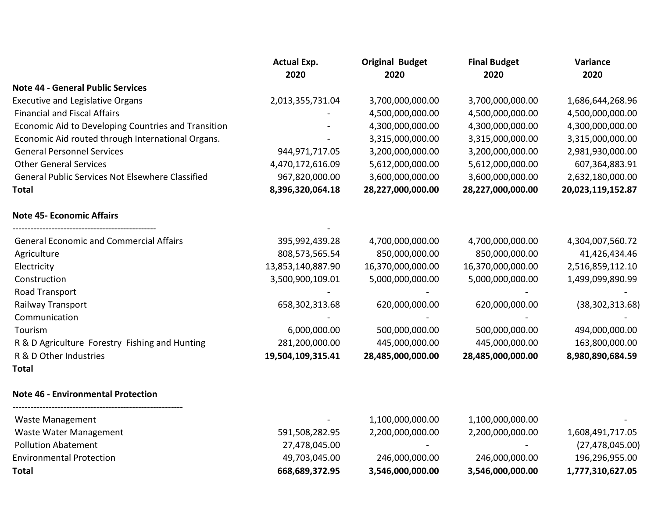|                                                     | <b>Actual Exp.</b><br>2020 | <b>Original Budget</b><br>2020 | <b>Final Budget</b><br>2020 | Variance<br>2020  |
|-----------------------------------------------------|----------------------------|--------------------------------|-----------------------------|-------------------|
| <b>Note 44 - General Public Services</b>            |                            |                                |                             |                   |
| <b>Executive and Legislative Organs</b>             | 2,013,355,731.04           | 3,700,000,000.00               | 3,700,000,000.00            | 1,686,644,268.96  |
| <b>Financial and Fiscal Affairs</b>                 |                            | 4,500,000,000.00               | 4,500,000,000.00            | 4,500,000,000.00  |
| Economic Aid to Developing Countries and Transition |                            | 4,300,000,000.00               | 4,300,000,000.00            | 4,300,000,000.00  |
| Economic Aid routed through International Organs.   |                            | 3,315,000,000.00               | 3,315,000,000.00            | 3,315,000,000.00  |
| <b>General Personnel Services</b>                   | 944, 971, 717. 05          | 3,200,000,000.00               | 3,200,000,000.00            | 2,981,930,000.00  |
| <b>Other General Services</b>                       | 4,470,172,616.09           | 5,612,000,000.00               | 5,612,000,000.00            | 607,364,883.91    |
| General Public Services Not Elsewhere Classified    | 967,820,000.00             | 3,600,000,000.00               | 3,600,000,000.00            | 2,632,180,000.00  |
| <b>Total</b>                                        | 8,396,320,064.18           | 28,227,000,000.00              | 28,227,000,000.00           | 20,023,119,152.87 |
| <b>Note 45- Economic Affairs</b>                    |                            |                                |                             |                   |
| <b>General Economic and Commercial Affairs</b>      | 395,992,439.28             | 4,700,000,000.00               | 4,700,000,000.00            | 4,304,007,560.72  |
| Agriculture                                         | 808,573,565.54             | 850,000,000.00                 | 850,000,000.00              | 41,426,434.46     |
| Electricity                                         | 13,853,140,887.90          | 16,370,000,000.00              | 16,370,000,000.00           | 2,516,859,112.10  |
| Construction                                        | 3,500,900,109.01           | 5,000,000,000.00               | 5,000,000,000.00            | 1,499,099,890.99  |
| Road Transport                                      |                            |                                |                             |                   |
| Railway Transport                                   | 658,302,313.68             | 620,000,000.00                 | 620,000,000.00              | (38, 302, 313.68) |
| Communication                                       |                            |                                |                             |                   |
| Tourism                                             | 6,000,000.00               | 500,000,000.00                 | 500,000,000.00              | 494,000,000.00    |
| R & D Agriculture Forestry Fishing and Hunting      | 281,200,000.00             | 445,000,000.00                 | 445,000,000.00              | 163,800,000.00    |
| R & D Other Industries                              | 19,504,109,315.41          | 28,485,000,000.00              | 28,485,000,000.00           | 8,980,890,684.59  |
| <b>Total</b>                                        |                            |                                |                             |                   |
| <b>Note 46 - Environmental Protection</b>           |                            |                                |                             |                   |
| <b>Waste Management</b>                             |                            | 1,100,000,000.00               | 1,100,000,000.00            |                   |
| Waste Water Management                              | 591,508,282.95             | 2,200,000,000.00               | 2,200,000,000.00            | 1,608,491,717.05  |
| <b>Pollution Abatement</b>                          | 27,478,045.00              |                                |                             | (27, 478, 045.00) |
| <b>Environmental Protection</b>                     | 49,703,045.00              | 246,000,000.00                 | 246,000,000.00              | 196,296,955.00    |
| <b>Total</b>                                        | 668,689,372.95             | 3,546,000,000.00               | 3,546,000,000.00            | 1,777,310,627.05  |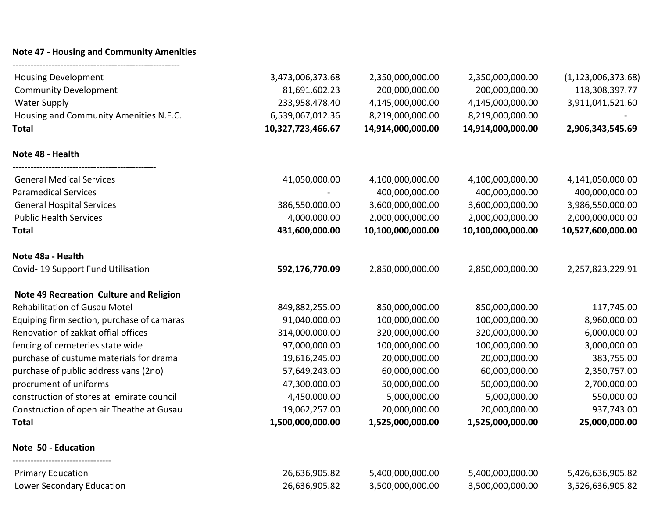## **Note 47 - Housing and Community Amenities**

--------------------------------------------------------

| <b>Housing Development</b>                 | 3,473,006,373.68  | 2,350,000,000.00  | 2,350,000,000.00  | (1, 123, 006, 373.68) |
|--------------------------------------------|-------------------|-------------------|-------------------|-----------------------|
| <b>Community Development</b>               | 81,691,602.23     | 200,000,000.00    | 200,000,000.00    | 118,308,397.77        |
| <b>Water Supply</b>                        | 233,958,478.40    | 4,145,000,000.00  | 4,145,000,000.00  | 3,911,041,521.60      |
| Housing and Community Amenities N.E.C.     | 6,539,067,012.36  | 8,219,000,000.00  | 8,219,000,000.00  |                       |
| <b>Total</b>                               | 10,327,723,466.67 | 14,914,000,000.00 | 14,914,000,000.00 | 2,906,343,545.69      |
| Note 48 - Health                           |                   |                   |                   |                       |
| <b>General Medical Services</b>            | 41,050,000.00     | 4,100,000,000.00  | 4,100,000,000.00  | 4,141,050,000.00      |
| <b>Paramedical Services</b>                |                   | 400,000,000.00    | 400,000,000.00    | 400,000,000.00        |
| <b>General Hospital Services</b>           | 386,550,000.00    | 3,600,000,000.00  | 3,600,000,000.00  | 3,986,550,000.00      |
| <b>Public Health Services</b>              | 4,000,000.00      | 2,000,000,000.00  | 2,000,000,000.00  | 2,000,000,000.00      |
| <b>Total</b>                               | 431,600,000.00    | 10,100,000,000.00 | 10,100,000,000.00 | 10,527,600,000.00     |
| Note 48a - Health                          |                   |                   |                   |                       |
| Covid-19 Support Fund Utilisation          | 592,176,770.09    | 2,850,000,000.00  | 2,850,000,000.00  | 2,257,823,229.91      |
| Note 49 Recreation Culture and Religion    |                   |                   |                   |                       |
| <b>Rehabilitation of Gusau Motel</b>       | 849,882,255.00    | 850,000,000.00    | 850,000,000.00    | 117,745.00            |
| Equiping firm section, purchase of camaras | 91,040,000.00     | 100,000,000.00    | 100,000,000.00    | 8,960,000.00          |
| Renovation of zakkat offial offices        | 314,000,000.00    | 320,000,000.00    | 320,000,000.00    | 6,000,000.00          |
| fencing of cemeteries state wide           | 97,000,000.00     | 100,000,000.00    | 100,000,000.00    | 3,000,000.00          |
| purchase of custume materials for drama    | 19,616,245.00     | 20,000,000.00     | 20,000,000.00     | 383,755.00            |
| purchase of public address vans (2no)      | 57,649,243.00     | 60,000,000.00     | 60,000,000.00     | 2,350,757.00          |
| procrument of uniforms                     | 47,300,000.00     | 50,000,000.00     | 50,000,000.00     | 2,700,000.00          |
| construction of stores at emirate council  | 4,450,000.00      | 5,000,000.00      | 5,000,000.00      | 550,000.00            |
| Construction of open air Theathe at Gusau  | 19,062,257.00     | 20,000,000.00     | 20,000,000.00     | 937,743.00            |
| <b>Total</b>                               | 1,500,000,000.00  | 1,525,000,000.00  | 1,525,000,000.00  | 25,000,000.00         |
| Note 50 - Education                        |                   |                   |                   |                       |
| <b>Primary Education</b>                   | 26,636,905.82     | 5,400,000,000.00  | 5,400,000,000.00  | 5,426,636,905.82      |
| Lower Secondary Education                  | 26,636,905.82     | 3,500,000,000.00  | 3,500,000,000.00  | 3,526,636,905.82      |